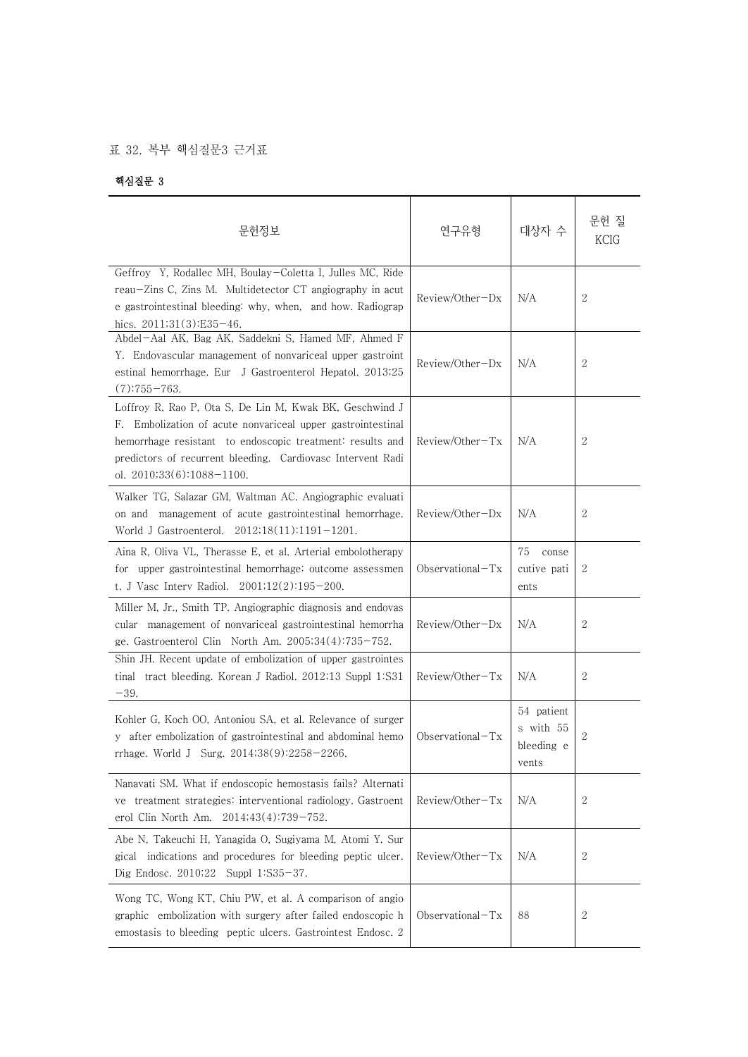## 표 32. 복부 핵심질문3 근거표

## 핵심질문 3

| 문헌정보                                                                                                                                                                                                                                                                               | 연구유형                | 대상자 수                                          | 문헌 질<br>KCIG     |  |
|------------------------------------------------------------------------------------------------------------------------------------------------------------------------------------------------------------------------------------------------------------------------------------|---------------------|------------------------------------------------|------------------|--|
| Geffroy Y, Rodallec MH, Boulay-Coletta I, Julles MC, Ride<br>reau-Zins C, Zins M. Multidetector CT angiography in acut<br>e gastrointestinal bleeding: why, when, and how. Radiograp<br>hics. 2011;31(3):E35-46.                                                                   | Review/Other-Dx     | N/A                                            | 2                |  |
| Abdel-Aal AK, Bag AK, Saddekni S, Hamed MF, Ahmed F<br>Y. Endovascular management of nonvariceal upper gastroint<br>estinal hemorrhage. Eur J Gastroenterol Hepatol. 2013;25<br>$(7):755 - 763.$                                                                                   | $Review/Other-Dx$   | N/A                                            | 2                |  |
| Loffroy R, Rao P, Ota S, De Lin M, Kwak BK, Geschwind J<br>F. Embolization of acute nonvariceal upper gastrointestinal<br>hemorrhage resistant to endoscopic treatment: results and<br>predictors of recurrent bleeding. Cardiovasc Intervent Radi<br>ol. $2010;33(6):1088-1100$ . | $Review/Other-Tx$   | N/A                                            | 2                |  |
| Walker TG, Salazar GM, Waltman AC. Angiographic evaluati<br>on and management of acute gastrointestinal hemorrhage.<br>World J Gastroenterol. 2012;18(11):1191-1201.                                                                                                               | Review/Other-Dx     | N/A                                            | 2                |  |
| Aina R, Oliva VL, Therasse E, et al. Arterial embolotherapy<br>for upper gastrointestinal hemorrhage: outcome assessmen<br>t. J Vasc Interv Radiol. 2001;12(2):195-200.                                                                                                            | Observational $-Tx$ | 75<br>conse<br>cutive pati<br>ents             | 2                |  |
| Miller M, Jr., Smith TP. Angiographic diagnosis and endovas<br>cular management of nonvariceal gastrointestinal hemorrha<br>ge. Gastroenterol Clin North Am. 2005;34(4):735-752.                                                                                                   | Review/Other-Dx     | N/A                                            | 2                |  |
| Shin JH. Recent update of embolization of upper gastrointes<br>tract bleeding. Korean J Radiol. 2012;13 Suppl 1:S31<br>tinal<br>$-39.$                                                                                                                                             | Review/Other-Tx     | N/A                                            | 2                |  |
| Kohler G, Koch OO, Antoniou SA, et al. Relevance of surger<br>y after embolization of gastrointestinal and abdominal hemo<br>rrhage. World J Surg. 2014;38(9):2258-2266.                                                                                                           | Observational-Tx    | 54 patient<br>s with 55<br>bleeding e<br>vents | 2                |  |
| Nanavati SM. What if endoscopic hemostasis fails? Alternati<br>ve treatment strategies: interventional radiology. Gastroent<br>erol Clin North Am. 2014;43(4):739-752.                                                                                                             | Review/Other-Tx     | N/A                                            | $\boldsymbol{2}$ |  |
| Abe N, Takeuchi H, Yanagida O, Sugiyama M, Atomi Y. Sur<br>gical indications and procedures for bleeding peptic ulcer.<br>Dig Endosc. 2010;22<br>Suppl $1:S35-37$ .                                                                                                                | Review/Other-Tx     | N/A                                            | 2                |  |
| Wong TC, Wong KT, Chiu PW, et al. A comparison of angio<br>graphic embolization with surgery after failed endoscopic h<br>emostasis to bleeding peptic ulcers. Gastrointest Endosc. 2                                                                                              | Observational-Tx    | 88                                             | 2                |  |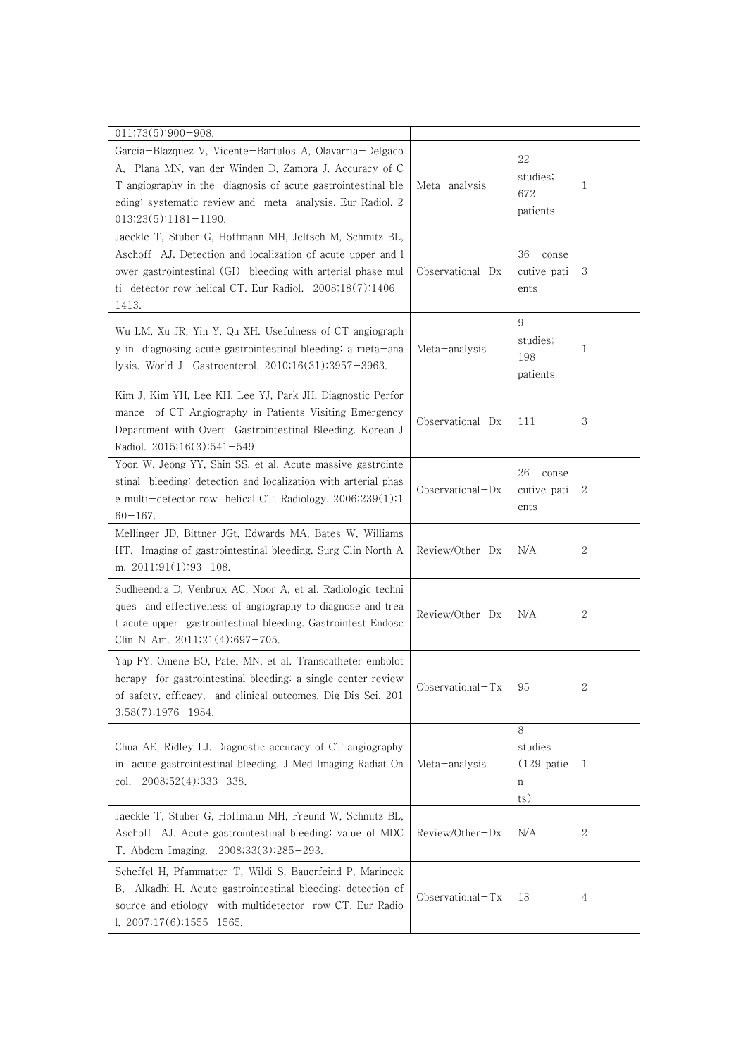| $011;73(5):900-908.$                                                                                                                                                                                                                                                      |                     |                                           |              |
|---------------------------------------------------------------------------------------------------------------------------------------------------------------------------------------------------------------------------------------------------------------------------|---------------------|-------------------------------------------|--------------|
| Garcia-Blazquez V, Vicente-Bartulos A, Olavarria-Delgado<br>A, Plana MN, van der Winden D, Zamora J. Accuracy of C<br>T angiography in the diagnosis of acute gastrointestinal ble<br>eding: systematic review and meta-analysis. Eur Radiol. 2<br>$013;23(5):1181-1190.$ | Meta-analysis       | 22<br>studies;<br>672<br>patients         | 1            |
| Jaeckle T, Stuber G, Hoffmann MH, Jeltsch M, Schmitz BL,<br>Aschoff AJ. Detection and localization of acute upper and l<br>ower gastrointestinal (GI) bleeding with arterial phase mul<br>ti-detector row helical CT. Eur Radiol. $2008;18(7):1406-$<br>1413.             | $Observational-Dx$  | 36<br>conse<br>cutive pati<br>ents        | 3            |
| Wu LM, Xu JR, Yin Y, Qu XH. Usefulness of CT angiograph<br>y in diagnosing acute gastrointestinal bleeding: a meta-ana<br>lysis. World J Gastroenterol. $2010;16(31):3957-3963$ .                                                                                         | Meta-analysis       | 9<br>studies;<br>198<br>patients          | 1            |
| Kim J, Kim YH, Lee KH, Lee YJ, Park JH. Diagnostic Perfor<br>mance of CT Angiography in Patients Visiting Emergency<br>Department with Overt Gastrointestinal Bleeding. Korean J<br>Radiol. 2015;16(3):541-549                                                            | $Observational-Dx$  | 111                                       | 3            |
| Yoon W, Jeong YY, Shin SS, et al. Acute massive gastrointe<br>stinal bleeding: detection and localization with arterial phas<br>e multi-detector row helical CT. Radiology. $2006;239(1):1$<br>$60 - 167$ .                                                               | $Observational-Dx$  | 26<br>conse<br>cutive pati<br>ents        | 2            |
| Mellinger JD, Bittner JGt, Edwards MA, Bates W, Williams<br>HT. Imaging of gastrointestinal bleeding. Surg Clin North A<br>m. $2011;91(1):93-108$ .                                                                                                                       | Review/Other-Dx     | N/A                                       | $\mathbf{2}$ |
| Sudheendra D, Venbrux AC, Noor A, et al. Radiologic techni<br>ques and effectiveness of angiography to diagnose and trea<br>t acute upper gastrointestinal bleeding. Gastrointest Endosc<br>Clin N Am. 2011;21(4):697-705.                                                | $Review/Other-Dx$   | N/A                                       | $\mathbf{2}$ |
| Yap FY, Omene BO, Patel MN, et al. Transcatheter embolot<br>herapy for gastrointestinal bleeding: a single center review<br>of safety, efficacy, and clinical outcomes. Dig Dis Sci. 201<br>3;58(7):1976-1984.                                                            | Observational-Tx    | 95                                        | 2            |
| Chua AE, Ridley LJ. Diagnostic accuracy of CT angiography<br>in acute gastrointestinal bleeding. J Med Imaging Radiat On<br>2008;52(4):333-338.<br>col.                                                                                                                   | Meta-analysis       | 8<br>studies<br>$(129)$ patie<br>n<br>ts) | 1            |
| Jaeckle T, Stuber G, Hoffmann MH, Freund W, Schmitz BL,<br>Aschoff AJ. Acute gastrointestinal bleeding: value of MDC<br>2008;33(3):285-293.<br>T. Abdom Imaging.                                                                                                          | $Review/Other-Dx$   | N/A                                       | 2            |
| Scheffel H, Pfammatter T, Wildi S, Bauerfeind P, Marincek<br>Alkadhi H. Acute gastrointestinal bleeding: detection of<br>В.<br>source and etiology with multidetector-row CT. Eur Radio<br>$1.2007;17(6):1555-1565.$                                                      | Observational $-Tx$ | 18                                        | 4            |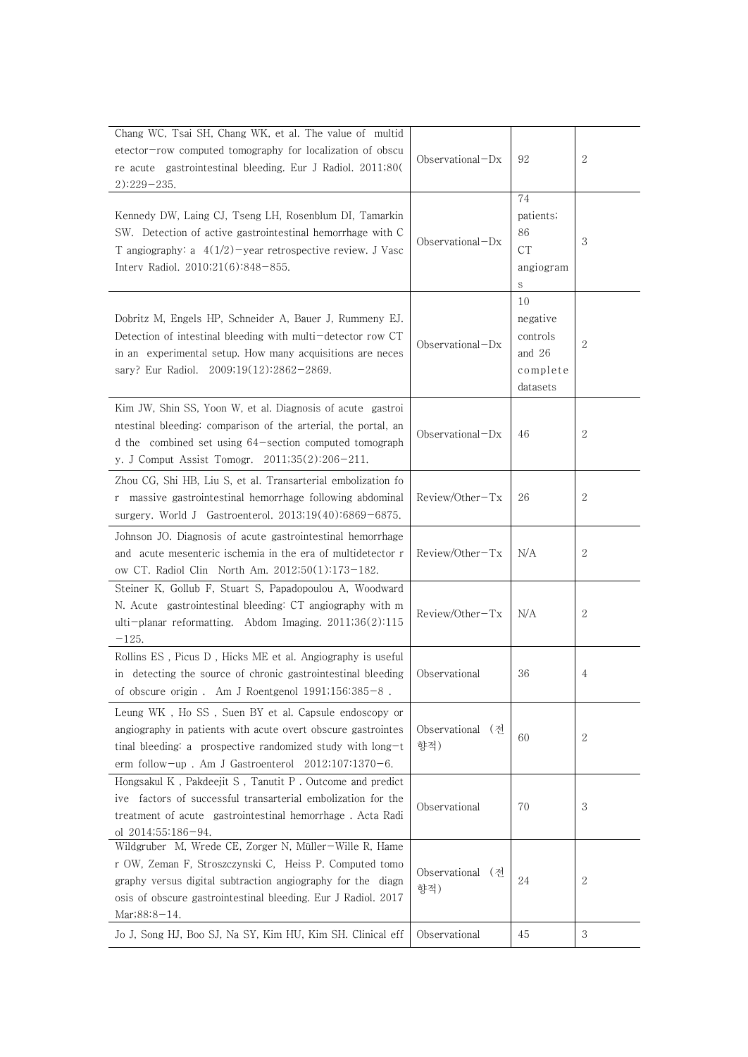| Chang WC, Tsai SH, Chang WK, et al. The value of multid<br>etector-row computed tomography for localization of obscu<br>re acute gastrointestinal bleeding. Eur J Radiol. 2011;80(<br>$2)$ :229-235.                                                             | Observational $-Dx$     | 92                                                             | $\overline{2}$ |
|------------------------------------------------------------------------------------------------------------------------------------------------------------------------------------------------------------------------------------------------------------------|-------------------------|----------------------------------------------------------------|----------------|
| Kennedy DW, Laing CJ, Tseng LH, Rosenblum DI, Tamarkin<br>SW. Detection of active gastrointestinal hemorrhage with C<br>T angiography: a $4(1/2)$ -year retrospective review. J Vasc<br>Interv Radiol. 2010;21(6):848-855.                                       | Observational $-Dx$     | 74<br>patients;<br>86<br><b>CT</b><br>angiogram<br>S           | 3              |
| Dobritz M, Engels HP, Schneider A, Bauer J, Rummeny EJ.<br>Detection of intestinal bleeding with multi-detector row CT<br>in an experimental setup. How many acquisitions are neces<br>sary? Eur Radiol. 2009;19(12):2862-2869.                                  | Observational-Dx        | 10<br>negative<br>controls<br>and $26$<br>complete<br>datasets | $\overline{2}$ |
| Kim JW, Shin SS, Yoon W, et al. Diagnosis of acute gastroi<br>ntestinal bleeding: comparison of the arterial, the portal, an<br>d the combined set using 64-section computed tomograph<br>y. J Comput Assist Tomogr. 2011;35(2):206-211.                         | Observational $-Dx$     | 46                                                             | 2              |
| Zhou CG, Shi HB, Liu S, et al. Transarterial embolization fo<br>r massive gastrointestinal hemorrhage following abdominal<br>surgery. World J Gastroenterol. $2013;19(40):6869-6875$ .                                                                           | $Review/Other-Tx$       | 26                                                             | 2              |
| Johnson JO. Diagnosis of acute gastrointestinal hemorrhage<br>and acute mesenteric ischemia in the era of multidetector r<br>ow CT. Radiol Clin North Am. 2012;50(1):173-182.                                                                                    | Review/Other-Tx         | N/A                                                            | $\overline{2}$ |
| Steiner K, Gollub F, Stuart S, Papadopoulou A, Woodward<br>N. Acute gastrointestinal bleeding: CT angiography with m<br>ulti-planar reformatting. Abdom Imaging. $2011;36(2):115$<br>$-125.$                                                                     | Review/Other-Tx         | N/A                                                            | $\overline{2}$ |
| Rollins ES, Picus D, Hicks ME et al. Angiography is useful<br>in detecting the source of chronic gastrointestinal bleeding<br>of obscure origin. Am J Roentgenol $1991;156:385-8$ .                                                                              | Observational           | 36                                                             | 4              |
| Leung WK, Ho SS, Suen BY et al. Capsule endoscopy or<br>angiography in patients with acute overt obscure gastrointes<br>tinal bleeding: a prospective randomized study with long-t<br>erm follow-up. Am J Gastroenterol $2012;107:1370-6$ .                      | Observational (전<br>향적) | 60                                                             | $\mathbf{2}$   |
| Hongsakul K, Pakdeejit S, Tanutit P. Outcome and predict<br>ive factors of successful transarterial embolization for the<br>treatment of acute gastrointestinal hemorrhage. Acta Radi<br>ol 2014;55:186-94.                                                      | Observational           | 70                                                             | 3              |
| Wildgruber M, Wrede CE, Zorger N, Müller-Wille R, Hame<br>r OW, Zeman F, Stroszczynski C, Heiss P. Computed tomo<br>graphy versus digital subtraction angiography for the diagn<br>osis of obscure gastrointestinal bleeding. Eur J Radiol. 2017<br>Mar;88:8-14. | Observational (전<br>향적) | 24                                                             | 2              |
| Jo J, Song HJ, Boo SJ, Na SY, Kim HU, Kim SH. Clinical eff                                                                                                                                                                                                       | Observational           | 45                                                             | $\sqrt{3}$     |